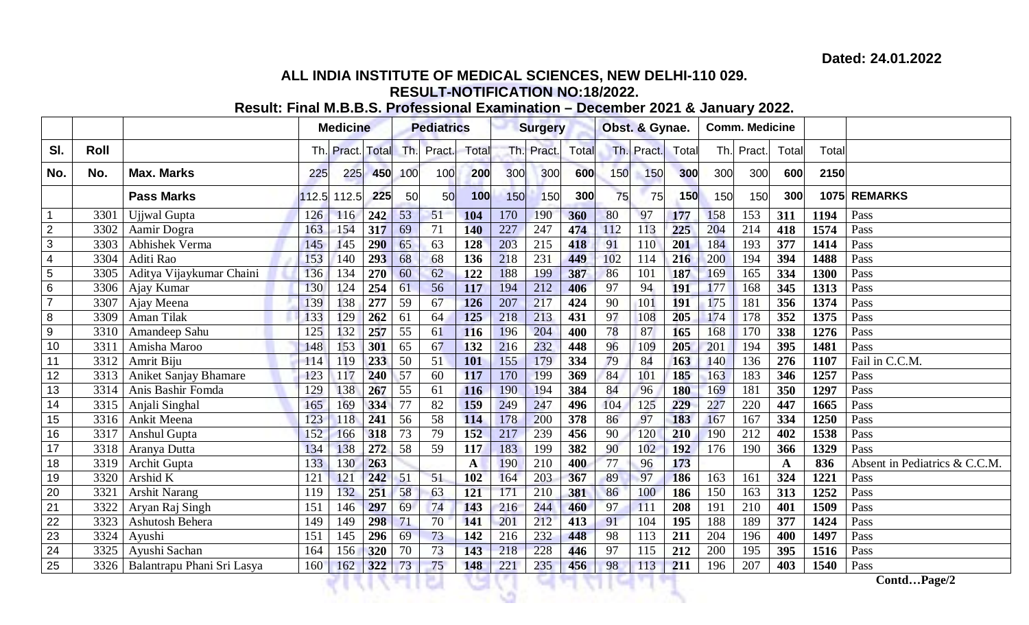## **ALL INDIA INSTITUTE OF MEDICAL SCIENCES, NEW DELHI-110 029. RESULT-NOTIFICATION NO:18/2022.**

# **Result: Final M.B.B.S. Professional Examination – December 2021 & January 2022.**

|                 |      |                              |       | <b>Medicine</b>  |            | <b>Pediatrics</b> |                 |              |     | <b>Surgery</b> |       | Obst. & Gynae.  |            |            |             | <b>Comm. Medicine</b> |             |       |                               |
|-----------------|------|------------------------------|-------|------------------|------------|-------------------|-----------------|--------------|-----|----------------|-------|-----------------|------------|------------|-------------|-----------------------|-------------|-------|-------------------------------|
| SI.             | Roll |                              |       | Th. Pract. Total |            |                   | Th. Pract.      | Total        |     | Th. Pract.     | Total |                 | Th. Pract. | Total      |             | Th. Pract.            | Total       | Total |                               |
| No.             | No.  | <b>Max. Marks</b>            | 225   | 225              | 450        | 100               | 100             | 200          | 300 | 300            | 600   | 150             | 150        | 300        | 300         | 300                   | 600         | 2150  |                               |
|                 |      | <b>Pass Marks</b>            | 112.5 | 112.5            | 225        | 50                | 50              | 100          | 150 | 150            | 300   | 75              | 75         | <b>150</b> | 150         | 150                   | 300         |       | 1075 REMARKS                  |
| $\overline{1}$  | 3301 | Ujjwal Gupta                 | 126   | 116              | 242        | 53                | 51              | 104          | 170 | 190            | 360   | 80              | 97         | 177        | 158         | 153                   | 311         | 1194  | Pass                          |
| $\overline{2}$  | 3302 | Aamir Dogra                  | 163   | 154              | 317        | 69                | 71              | 140          | 227 | 247            | 474   | 112             | 113        | 225        | 204         | 214                   | 418         | 1574  | Pass                          |
| 3               | 3303 | Abhishek Verma               | 145   | 145              | <b>290</b> | 65                | 63              | 128          | 203 | 215            | 418   | 91              | 110        | 201        | 184         | 193                   | 377         | 1414  | Pass                          |
| $\overline{4}$  | 3304 | Aditi Rao                    | 153   | 140              | 293        | 68                | 68              | 136          | 218 | 231            | 449   | 102             | 114        | 216        | 200         | 194                   | 394         | 1488  | Pass                          |
| $\overline{5}$  | 3305 | Aditya Vijaykumar Chaini     | 136   | 134              | 270        | 60                | 62              | 122          | 188 | 199            | 387   | 86              | 101        | 187        | 169         | 165                   | 334         | 1300  | Pass                          |
| 6               | 3306 | Ajay Kumar                   | 130   | 124              | 254        | 61                | 56              | 117          | 194 | 212            | 406   | 97              | 94         | <b>191</b> | 177         | 168                   | 345         | 1313  | Pass                          |
| $\overline{7}$  | 3307 | Ajay Meena                   | 139   | 138              | 277        | 59                | 67              | 126          | 207 | 217            | 424   | 90              | 101        | <b>191</b> | 175         | 181                   | 356         | 1374  | Pass                          |
| 8               | 3309 | Aman Tilak                   | 133   | 129              | 262        | 61                | 64              | 125          | 218 | 213            | 431   | 97              | 108        | 205        | 174         | 178                   | 352         | 1375  | Pass                          |
| 9               | 3310 | Amandeep Sahu                | 125   | 132              | 257        | $\overline{55}$   | 61              | 116          | 196 | 204            | 400   | 78              | 87         | 165        | 168         | 170                   | 338         | 1276  | Pass                          |
| 10              | 3311 | Amisha Maroo                 | 148   | 153              | 301        | 65                | 67              | 132          | 216 | 232            | 448   | 96              | 109        | 205        | 201         | 194                   | 395         | 1481  | Pass                          |
| 11              | 3312 | Amrit Biju                   | 114   | 119              | 233        | $\overline{50}$   | 51              | <b>101</b>   | 155 | 179            | 334   | 79              | 84         | 163        | 140         | 136                   | 276         | 1107  | Fail in C.C.M.                |
| 12              | 3313 | <b>Aniket Sanjay Bhamare</b> | 123   | 117              | 240        | 57                | 60              | 117          | 170 | 199            | 369   | 84              | 101        | 185        | 163         | 183                   | 346         | 1257  | Pass                          |
| 13              | 3314 | Anis Bashir Fomda            | 129   | 138              | 267        | 55                | 61              | 116          | 190 | 194            | 384   | 84              | 96         | <b>180</b> | 169         | 181                   | 350         | 1297  | Pass                          |
| 14              | 3315 | Anjali Singhal               | 165   | 169              | 334        | 77                | 82              | 159          | 249 | 247            | 496   | 104             | 125        | 229        | 227         | 220                   | 447         | 1665  | Pass                          |
| 15              | 3316 | Ankit Meena                  | 123   | 118              | 241        | $\overline{56}$   | 58              | 114          | 178 | 200            | 378   | 86              | 97         | 183        | 167         | 167                   | 334         | 1250  | Pass                          |
| 16              | 3317 | Anshul Gupta                 | 152   | 166              | 318        | 73                | 79              | 152          | 217 | 239            | 456   | $\overline{90}$ | 120        | 210        | 190         | 212                   | 402         | 1538  | Pass                          |
| 17              | 3318 | Aranya Dutta                 | 134   | 138              | 272        | $\overline{58}$   | $\overline{59}$ | 117          | 183 | 199            | 382   | 90              | 102        | 192        | 176         | 190                   | 366         | 1329  | Pass                          |
| 18              | 3319 | Archit Gupta                 | 133   | 130              | 263        |                   |                 | $\mathbf{A}$ | 190 | 210            | 400   | 77              | 96         | 173        |             |                       | $\mathbf A$ | 836   | Absent in Pediatrics & C.C.M. |
| 19              | 3320 | Arshid K                     | 121   | 121              | 242        | 51                | 51              | 102          | 164 | 203            | 367   | 89              | 97         | 186        | 163         | 161                   | 324         | 1221  | Pass                          |
| 20              | 3321 | <b>Arshit Narang</b>         | 119   | 132              | 251        | 58                | 63              | 121          | 171 | 210            | 381   | 86              | 100        | 186        | 150         | 163                   | 313         | 1252  | Pass                          |
| $\overline{21}$ | 3322 | Aryan Raj Singh              | 151   | 146              | 297        | 69                | 74              | 143          | 216 | 244            | 460   | 97              | 111        | 208        | 191         | 210                   | 401         | 1509  | Pass                          |
| 22              | 3323 | Ashutosh Behera              | 149   | 149              | 298        | 71                | 70              | 141          | 201 | 212            | 413   | 91              | 104        | 195        | 188         | 189                   | 377         | 1424  | Pass                          |
| 23              | 3324 | Ayushi                       | 151   | 145              | 296        | 69                | 73              | 142          | 216 | 232            | 448   | 98              | 113        | 211        | 204         | 196                   | 400         | 1497  | Pass                          |
| 24              | 3325 | Ayushi Sachan                | 164   | 156              | 320        | 70                | 73              | 143          | 218 | 228            | 446   | 97              | 115        | 212        | 200         | 195                   | 395         | 1516  | Pass                          |
| 25              | 3326 | Balantrapu Phani Sri Lasya   | 160   | 162              | 322        | 73                | 75              | 148          | 221 | 235            | 456   | 98              | 113        | 211        | 196         | 207                   | 403         | 1540  | Pass                          |
|                 |      |                              |       |                  |            |                   |                 |              |     |                |       |                 |            |            | ContdPage/2 |                       |             |       |                               |
|                 |      |                              |       |                  |            |                   |                 |              |     |                |       |                 |            |            |             |                       |             |       |                               |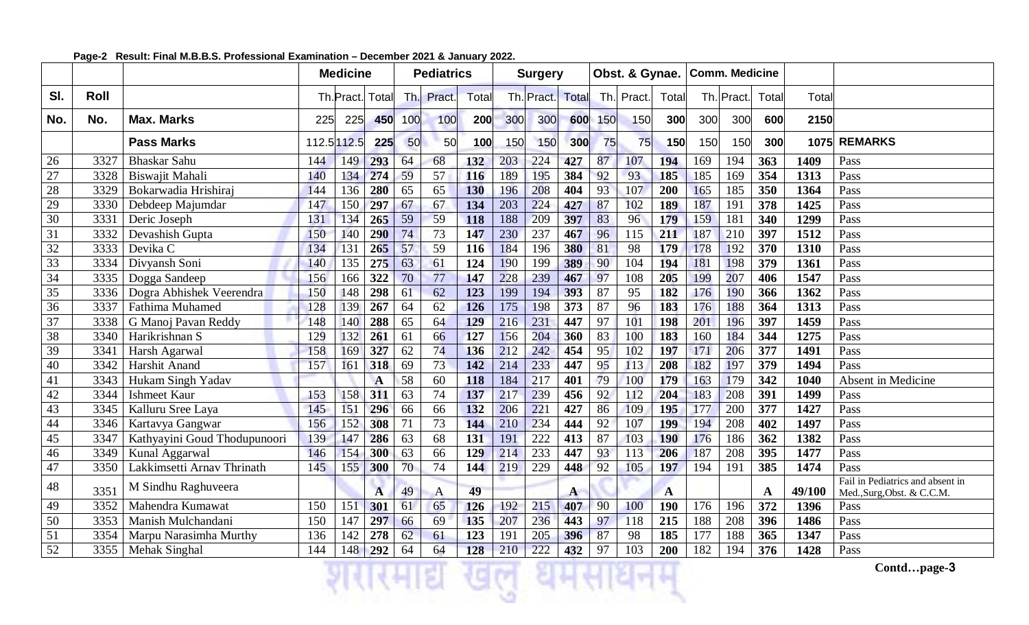|                 |      |                              | <b>Medicine</b> |                  |              |      | <b>Pediatrics</b> |            |     | <b>Surgery</b> |              |     | Obst. & Gynae. |            |     | <b>Comm. Medicine</b> |       |        |                                                                |
|-----------------|------|------------------------------|-----------------|------------------|--------------|------|-------------------|------------|-----|----------------|--------------|-----|----------------|------------|-----|-----------------------|-------|--------|----------------------------------------------------------------|
| SI.             | Roll |                              |                 | Th. Pract. Total |              | -Th. | Pract.            | Total      |     | Th. Pract.     | Total        |     | Th. Pract.     | Total      |     | Th. Pract.            | Total | Total  |                                                                |
| No.             | No.  | <b>Max. Marks</b>            | 225             | 225              | 450          | 100  | 100               | 200        | 300 | 300            | 600          | 150 | 150            | 300        | 300 | 300                   | 600   | 2150   |                                                                |
|                 |      | <b>Pass Marks</b>            |                 | 112.5 112.5      | 225          | 50   | 50                | 100        | 150 | 150            | 300          | 75  | 75             | 150        | 150 | 150                   | 300   |        | 1075 REMARKS                                                   |
| 26              | 3327 | <b>Bhaskar Sahu</b>          | 144             | 149              | 293          | 64   | 68                | 132        | 203 | 224            | 427          | 87  | 107            | 194        | 169 | 194                   | 363   | 1409   | Pass                                                           |
| 27              | 3328 | Biswajit Mahali              | 140             | 134              | 274          | 59   | 57                | 116        | 189 | 195            | 384          | 92  | 93             | 185        | 185 | 169                   | 354   | 1313   | Pass                                                           |
| 28              | 3329 | Bokarwadia Hrishiraj         | 144             | 136              | 280          | 65   | 65                | 130        | 196 | 208            | 404          | 93  | 107            | 200        | 165 | 185                   | 350   | 1364   | Pass                                                           |
| 29              | 3330 | Debdeep Majumdar             | 147             | 150              | 297          | 67   | 67                | 134        | 203 | 224            | 427          | 87  | 102            | 189        | 187 | 191                   | 378   | 1425   | Pass                                                           |
| 30              | 3331 | Deric Joseph                 | 131             | 134              | 265          | 59   | 59                | 118        | 188 | 209            | 397          | 83  | 96             | 179        | 159 | 181                   | 340   | 1299   | Pass                                                           |
| 31              | 3332 | Devashish Gupta              | 150             | 140              | 290          | 74   | 73                | 147        | 230 | 237            | 467          | 96  | 115            | 211        | 187 | 210                   | 397   | 1512   | Pass                                                           |
| $\overline{32}$ | 3333 | Devika C                     | 134             | 131              | 265          | 57   | 59                | 116        | 184 | 196            | 380          | 81  | 98             | 179        | 178 | 192                   | 370   | 1310   | Pass                                                           |
| 33              | 3334 | Divyansh Soni                | 140             | 135              | 275          | 63   | 61                | 124        | 190 | 199            | 389          | 90  | 104            | 194        | 181 | 198                   | 379   | 1361   | Pass                                                           |
| 34              | 3335 | Dogga Sandeep                | 156             | 166              | 322          | 70   | 77                | 147        | 228 | 239            | 467          | 97  | 108            | 205        | 199 | 207                   | 406   | 1547   | Pass                                                           |
| 35              | 3336 | Dogra Abhishek Veerendra     | 150             | 148              | 298          | 61   | 62                | 123        | 199 | 194            | 393          | 87  | 95             | 182        | 176 | 190                   | 366   | 1362   | Pass                                                           |
| 36              | 3337 | Fathima Muhamed              | 128             | 139              | 267          | 64   | 62                | 126        | 175 | 198            | 373          | 87  | 96             | 183        | 176 | 188                   | 364   | 1313   | Pass                                                           |
| 37              | 3338 | G Manoj Pavan Reddy          | 148             | 140              | 288          | 65   | 64                | 129        | 216 | 231            | 447          | 97  | 101            | 198        | 201 | 196                   | 397   | 1459   | Pass                                                           |
| 38              | 3340 | Harikrishnan S               | 129             | 132              | 261          | 61   | 66                | 127        | 156 | 204            | 360          | 83  | 100            | 183        | 160 | 184                   | 344   | 1275   | Pass                                                           |
| 39              | 3341 | Harsh Agarwal                | 158             | 169              | 327          | 62   | 74                | 136        | 212 | 242            | 454          | 95  | 102            | 197        | 171 | 206                   | 377   | 1491   | Pass                                                           |
| 40              | 3342 | Harshit Anand                | 157             | 161              | 318          | 69   | 73                | 142        | 214 | 233            | 447          | 95  | 113            | 208        | 182 | 197                   | 379   | 1494   | Pass                                                           |
| 41              | 3343 | Hukam Singh Yadav            |                 |                  | $\mathbf{A}$ | 58   | 60                | 118        | 184 | 217            | 401          | 79  | 100            | 179        | 163 | 179                   | 342   | 1040   | Absent in Medicine                                             |
| 42              | 3344 | <b>Ishmeet Kaur</b>          | 153             | 158              | 311          | 63   | 74                | 137        | 217 | 239            | 456          | 92  | 112            | 204        | 183 | 208                   | 391   | 1499   | Pass                                                           |
| 43              | 3345 | Kalluru Sree Laya            | 145             | 151              | 296          | 66   | 66                | 132        | 206 | 221            | 427          | 86  | 109            | 195        | 177 | 200                   | 377   | 1427   | Pass                                                           |
| 44              | 3346 | Kartavya Gangwar             | 156             | 152              | 308          | 71   | 73                | 144        | 210 | 234            | 444          | 92  | 107            | 199        | 194 | 208                   | 402   | 1497   | Pass                                                           |
| 45              | 3347 | Kathyayini Goud Thodupunoori | 139             | 147              | 286          | 63   | 68                | 131        | 191 | 222            | 413          | 87  | 103            | <b>190</b> | 176 | 186                   | 362   | 1382   | Pass                                                           |
| 46              | 3349 | Kunal Aggarwal               | 146             | 154              | 300          | 63   | 66                | 129        | 214 | 233            | 447          | 93  | 113            | 206        | 187 | 208                   | 395   | 1477   | Pass                                                           |
| 47              | 3350 | Lakkimsetti Arnav Thrinath   | 145             | 155              | 300          | 70   | 74                | 144        | 219 | 229            | 448          | 92  | 105            | 197        | 194 | 191                   | 385   | 1474   | Pass                                                           |
| 48              | 3351 | M Sindhu Raghuveera          |                 |                  | $\mathbf{A}$ | 49   | $\mathbf{A}$      | 49         |     |                | $\mathbf{A}$ |     |                | A          |     |                       | A     | 49/100 | Fail in Pediatrics and absent in<br>Med., Surg, Obst. & C.C.M. |
| 49              | 3352 | Mahendra Kumawat             | 150             | 151              | 301          | 61   | 65                | <b>126</b> | 192 | 215            | 407          | 90  | 100            | <b>190</b> | 176 | 196                   | 372   | 1396   | Pass                                                           |
| 50              |      | 3353   Manish Mulchandani    | 150             | 147              | 297          | 66   | 69                | 135        | 207 | 236            | 443          | 97  | 118            | 215        | 188 | 208                   | 396   | 1486   | Pass                                                           |
| 51              | 3354 | Marpu Narasimha Murthy       | 136             | 142              | 278          | 62   | 61                | 123        | 191 | 205            | 396          | 87  | 98             | 185        | 177 | 188                   | 365   | 1347   | Pass                                                           |
| 52              |      | 3355   Mehak Singhal         | 144             |                  | 148 292      | 64   | 64                | 128        | 210 | 222            | 432          | 97  | 103            | 200        | 182 | 194                   | 376   | 1428   | Pass                                                           |
|                 |      |                              |                 |                  |              |      |                   |            |     |                |              |     |                |            |     |                       |       |        | Contdpage-3                                                    |

## **Page-2 Result: Final M.B.B.S. Professional Examination – December 2021 & January 2022.**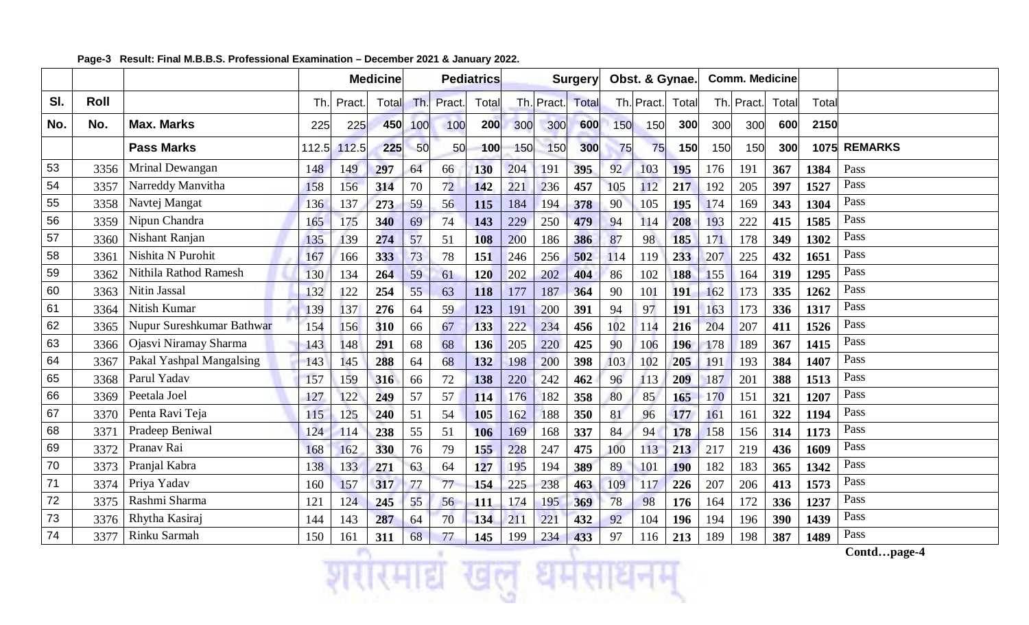|     |      |                           |       |        | <b>Medicine</b> |     |        | <b>Pediatrics</b> |     |            | <b>Surgery</b> |     | Obst. & Gynae. |            |     | <b>Comm. Medicine</b> |       |       |                |
|-----|------|---------------------------|-------|--------|-----------------|-----|--------|-------------------|-----|------------|----------------|-----|----------------|------------|-----|-----------------------|-------|-------|----------------|
| SI. | Roll |                           | Th.   | Pract. | Total           | Th. | Pract. | Total             |     | Th. Pract. | Total          |     | Th. Pract.     | Total      |     | Th. Pract.            | Total | Total |                |
| No. | No.  | <b>Max. Marks</b>         | 225   | 225    | 450             | 100 | 100    | 200               | 300 | 300        | 600            | 150 | 150            | 300        | 300 | 300                   | 600   | 2150  |                |
|     |      | <b>Pass Marks</b>         | 112.5 | 112.5  | 225             | 50  | 50     | 100               | 150 | 150        | 300            | 75  | 75             | 150        | 150 | 150                   | 300   | 1075  | <b>REMARKS</b> |
| 53  | 3356 | Mrinal Dewangan           | 148   | 149    | 297             | 64  | 66     | <b>130</b>        | 204 | 191        | 395            | 92  | 103            | 195        | 176 | 191                   | 367   | 1384  | Pass           |
| 54  | 3357 | Narreddy Manvitha         | 158   | 156    | 314             | 70  | 72     | 142               | 221 | 236        | 457            | 105 | 112            | 217        | 192 | 205                   | 397   | 1527  | Pass           |
| 55  | 3358 | Navtej Mangat             | 136   | 137    | 273             | 59  | 56     | 115               | 184 | 194        | 378            | 90  | 105            | 195        | 174 | 169                   | 343   | 1304  | Pass           |
| 56  | 3359 | Nipun Chandra             | 165   | 175    | 340             | 69  | 74     | 143               | 229 | 250        | 479            | 94  | 114            | 208        | 193 | 222                   | 415   | 1585  | Pass           |
| 57  | 3360 | Nishant Ranjan            | 135   | 139    | 274             | 57  | 51     | 108               | 200 | 186        | 386            | 87  | 98             | 185        | 171 | 178                   | 349   | 1302  | Pass           |
| 58  | 3361 | Nishita N Purohit         | 167   | 166    | 333             | 73  | 78     | <b>151</b>        | 246 | 256        | 502            | 114 | 119            | 233        | 207 | 225                   | 432   | 1651  | Pass           |
| 59  | 3362 | Nithila Rathod Ramesh     | 130   | 134    | 264             | 59  | 61     | <b>120</b>        | 202 | 202        | 404            | 86  | 102            | 188        | 155 | 164                   | 319   | 1295  | Pass           |
| 60  | 3363 | Nitin Jassal              | 132   | 122    | 254             | 55  | 63     | 118               | 177 | 187        | 364            | 90  | 101            | 191        | 162 | 173                   | 335   | 1262  | Pass           |
| 61  | 3364 | Nitish Kumar              | 139   | 137    | 276             | 64  | 59     | 123               | 191 | 200        | 391            | 94  | 97             | 191        | 163 | 173                   | 336   | 1317  | Pass           |
| 62  | 3365 | Nupur Sureshkumar Bathwar | 154   | 156    | 310             | 66  | 67     | 133               | 222 | 234        | 456            | 102 | 114            | 216        | 204 | 207                   | 411   | 1526  | Pass           |
| 63  | 3366 | Ojasvi Niramay Sharma     | 143   | 148    | 291             | 68  | 68     | 136               | 205 | 220        | 425            | 90  | 106            | <b>196</b> | 178 | 189                   | 367   | 1415  | Pass           |
| 64  | 3367 | Pakal Yashpal Mangalsing  | 143   | 145    | 288             | 64  | 68     | 132               | 198 | 200        | 398            | 103 | 102            | 205        | 191 | 193                   | 384   | 1407  | Pass           |
| 65  | 3368 | Parul Yadav               | 157   | 159    | 316             | 66  | 72     | 138               | 220 | 242        | 462            | 96  | 113            | 209        | 187 | 201                   | 388   | 1513  | Pass           |
| 66  | 3369 | Peetala Joel              | 127   | 122    | 249             | 57  | 57     | 114               | 176 | 182        | 358            | 80  | 85             | 165        | 170 | 151                   | 321   | 1207  | Pass           |
| 67  | 3370 | Penta Ravi Teja           | 115   | 125    | 240             | 51  | 54     | 105               | 162 | 188        | 350            | 81  | 96             | 177        | 161 | 161                   | 322   | 1194  | Pass           |
| 68  | 3371 | Pradeep Beniwal           | 124   | 114    | 238             | 55  | 51     | 106               | 169 | 168        | 337            | 84  | 94             | 178        | 158 | 156                   | 314   | 1173  | Pass           |
| 69  | 3372 | Pranav Rai                | 168   | 162    | 330             | 76  | 79     | 155               | 228 | 247        | 475            | 100 | 113            | 213        | 217 | 219                   | 436   | 1609  | Pass           |
| 70  | 3373 | Pranjal Kabra             | 138   | 133    | 271             | 63  | 64     | 127               | 195 | 194        | 389            | 89  | 101            | <b>190</b> | 182 | 183                   | 365   | 1342  | Pass           |
| 71  | 3374 | Priya Yadav               | 160   | 157    | 317             | 77  | 77     | 154               | 225 | 238        | 463            | 109 | 117            | 226        | 207 | 206                   | 413   | 1573  | Pass           |
| 72  | 3375 | Rashmi Sharma             | 121   | 124    | 245             | 55  | 56     | 111               | 174 | 195        | 369            | 78  | 98             | 176        | 164 | 172                   | 336   | 1237  | Pass           |
| 73  | 3376 | Rhytha Kasiraj            | 144   | 143    | 287             | 64  | 70     | 134               | 211 | 221        | 432            | 92  | 104            | 196        | 194 | 196                   | 390   | 1439  | Pass           |
| 74  | 3377 | Rinku Sarmah              | 150   | 161    | 311             | 68  | 77     | 145               | 199 | 234        | 433            | 97  | 116            | 213        | 189 | 198                   | 387   | 1489  | Pass           |

## **Page-3 Result: Final M.B.B.S. Professional Examination – December 2021 & January 2022.**

**Contd…page-4**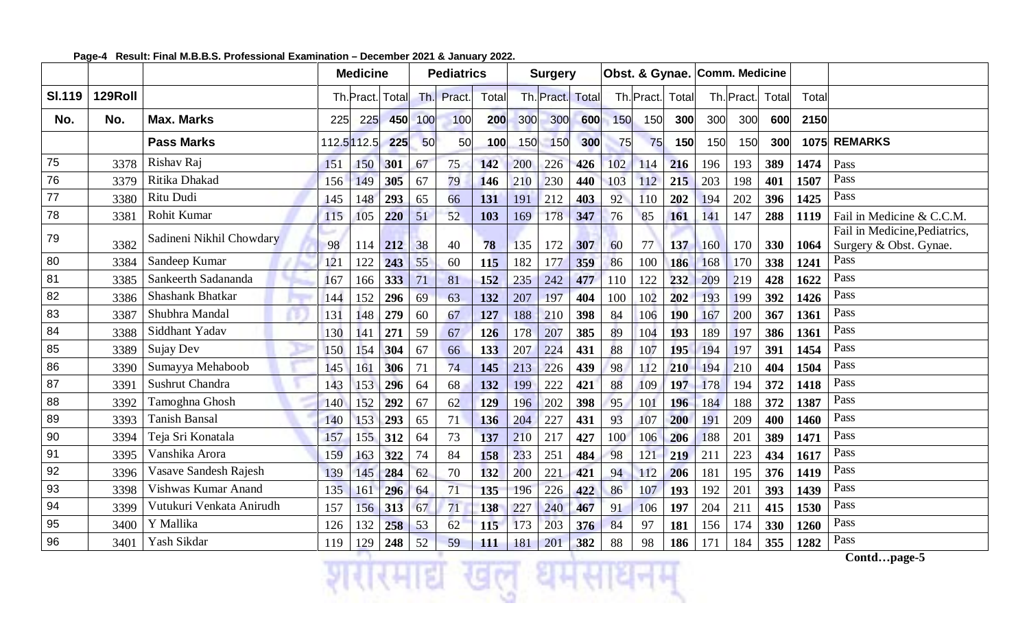|               |         |                          |     | <b>Medicine</b> |     |     | <b>Pediatrics</b> |       |     | <b>Surgery</b> |                  |     |                    |            |     | Obst. & Gynae. Comm. Medicine |       |       |                                                         |
|---------------|---------|--------------------------|-----|-----------------|-----|-----|-------------------|-------|-----|----------------|------------------|-----|--------------------|------------|-----|-------------------------------|-------|-------|---------------------------------------------------------|
| <b>SI.119</b> | 129Roll |                          |     | Th.Pract. Total |     |     | Th. Pract.        | Total |     |                | Th. Pract. Total |     | Th. Pract.   Total |            |     | Th. Pract.                    | Total | Total |                                                         |
| No.           | No.     | <b>Max. Marks</b>        | 225 | 225             | 450 | 100 | 100               | 200   | 300 | 300            | 600              | 150 | 150                | 300        | 300 | 300                           | 600   | 2150  |                                                         |
|               |         | <b>Pass Marks</b>        |     | 112.5 112.5     | 225 | 50  | 50                | 100   | 150 | 150            | 300              | 75  | 75                 | 150        | 150 | 150                           | 300   | 1075  | <b>REMARKS</b>                                          |
| 75            | 3378    | Rishav Raj               | 151 | 150             | 301 | 67  | 75                | 142   | 200 | 226            | 426              | 102 | 114                | 216        | 196 | 193                           | 389   | 1474  | Pass                                                    |
| 76            | 3379    | Ritika Dhakad            | 156 | 149             | 305 | 67  | 79                | 146   | 210 | 230            | 440              | 103 | 112                | 215        | 203 | 198                           | 401   | 1507  | Pass                                                    |
| 77            | 3380    | Ritu Dudi                | 145 | 148             | 293 | 65  | 66                | 131   | 191 | 212            | 403              | 92  | 110                | 202        | 194 | 202                           | 396   | 1425  | Pass                                                    |
| 78            | 3381    | Rohit Kumar              | 115 | 105             | 220 | 51  | 52                | 103   | 169 | 178            | 347              | 76  | 85                 | 161        | 141 | 147                           | 288   | 1119  | Fail in Medicine & C.C.M.                               |
| 79            | 3382    | Sadineni Nikhil Chowdary | 98  | 114             | 212 | 38  | 40                | 78    | 135 | 172            | 307              | 60  | 77                 | 137        | 160 | 170                           | 330   | 1064  | Fail in Medicine, Pediatrics,<br>Surgery & Obst. Gynae. |
| 80            | 3384    | Sandeep Kumar            | 121 | 122             | 243 | 55  | 60                | 115   | 182 | 177            | 359              | 86  | 100                | 186        | 168 | 170                           | 338   | 1241  | Pass                                                    |
| 81            | 3385    | Sankeerth Sadananda      | 167 | 166             | 333 | 71  | 81                | 152   | 235 | 242            | 477              | 110 | 122                | 232        | 209 | 219                           | 428   | 1622  | Pass                                                    |
| 82            | 3386    | Shashank Bhatkar         | 144 | 152             | 296 | 69  | 63                | 132   | 207 | 197            | 404              | 100 | 102                | 202        | 193 | 199                           | 392   | 1426  | Pass                                                    |
| 83            | 3387    | Shubhra Mandal           | 131 | 148             | 279 | 60  | 67                | 127   | 188 | 210            | 398              | 84  | 106                | 190        | 167 | 200                           | 367   | 1361  | Pass                                                    |
| 84            | 3388    | Siddhant Yadav           | 130 | 141             | 271 | 59  | 67                | 126   | 178 | 207            | 385              | 89  | 104                | 193        | 189 | 197                           | 386   | 1361  | Pass                                                    |
| 85            | 3389    | Sujay Dev                | 150 | 154             | 304 | 67  | 66                | 133   | 207 | 224            | 431              | 88  | 107                | 195        | 194 | 197                           | 391   | 1454  | Pass                                                    |
| 86            | 3390    | Sumayya Mehaboob         | 145 | 161             | 306 | 71  | 74                | 145   | 213 | 226            | 439              | 98  | 112                | 210        | 194 | 210                           | 404   | 1504  | Pass                                                    |
| 87            | 3391    | Sushrut Chandra          | 143 | 153             | 296 | 64  | 68                | 132   | 199 | 222            | 421              | 88  | 109                | 197        | 178 | 194                           | 372   | 1418  | Pass                                                    |
| 88            | 3392    | Tamoghna Ghosh           | 140 | 152             | 292 | 67  | 62                | 129   | 196 | 202            | 398              | 95  | 101                | 196        | 184 | 188                           | 372   | 1387  | Pass                                                    |
| 89            | 3393    | <b>Tanish Bansal</b>     | 140 | 153             | 293 | 65  | 71                | 136   | 204 | 227            | 431              | 93  | 107                | 200        | 191 | 209                           | 400   | 1460  | Pass                                                    |
| 90            | 3394    | Teja Sri Konatala        | 157 | 155             | 312 | 64  | 73                | 137   | 210 | 217            | 427              | 100 | 106                | 206        | 188 | 201                           | 389   | 1471  | Pass                                                    |
| 91            | 3395    | Vanshika Arora           | 159 | 163             | 322 | 74  | 84                | 158   | 233 | 251            | 484              | 98  | 121                | 219        | 211 | 223                           | 434   | 1617  | Pass                                                    |
| 92            | 3396    | Vasave Sandesh Rajesh    | 139 | 145             | 284 | 62  | 70                | 132   | 200 | 221            | 421              | 94  | 112                | 206        | 181 | 195                           | 376   | 1419  | Pass                                                    |
| 93            | 3398    | Vishwas Kumar Anand      | 135 | 161             | 296 | 64  | 71                | 135   | 196 | 226            | 422              | 86  | 107                | <b>193</b> | 192 | 201                           | 393   | 1439  | Pass                                                    |
| 94            | 3399    | Vutukuri Venkata Anirudh | 157 | 156             | 313 | 67  | 71                | 138   | 227 | 240            | 467              | 91  | 106                | 197        | 204 | 211                           | 415   | 1530  | Pass                                                    |
| 95            | 3400    | Y Mallika                | 126 | 132             | 258 | 53  | 62                | 115   | 173 | 203            | 376              | 84  | 97                 | 181        | 156 | 174                           | 330   | 1260  | Pass                                                    |
| 96            | 3401    | Yash Sikdar              | 119 | 129             | 248 | 52  | 59                | 111   | 181 | 201            | 382              | 88  | 98                 | 186        | 171 | 184                           | 355   | 1282  | Pass                                                    |

धमस

#### **Page-4 Result: Final M.B.B.S. Professional Examination – December 2021 & January 2022.**

an s

माद्य

GM

**Contd…page-5**